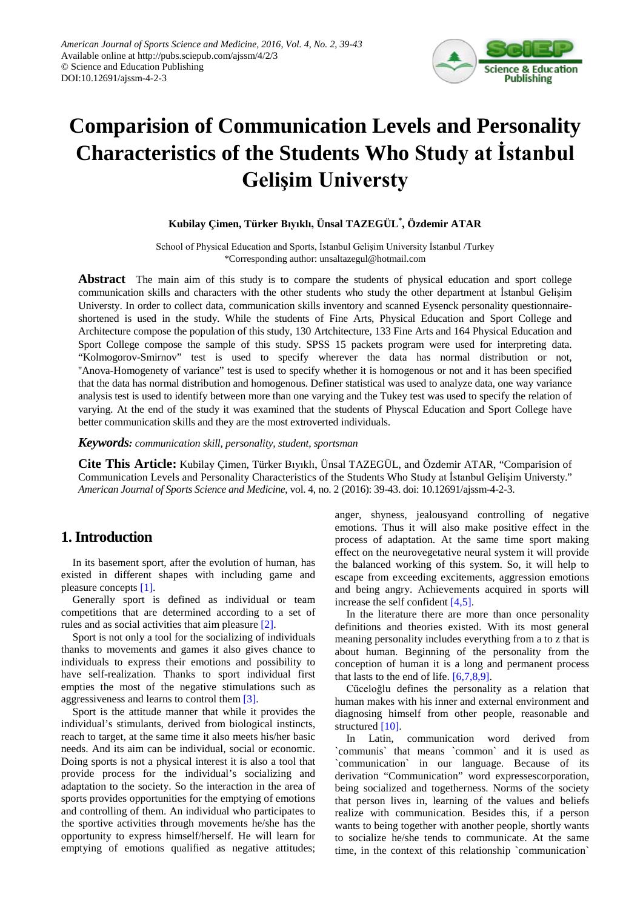

# **Comparision of Communication Levels and Personality Characteristics of the Students Who Study at İstanbul Gelişim Universty**

#### **Kubilay Çimen, Türker Bıyıklı, Ünsal TAZEGÜL\* , Özdemir ATAR**

School of Physical Education and Sports, İstanbul Gelişim University İstanbul /Turkey \*Corresponding author: unsaltazegul@hotmail.com

**Abstract** The main aim of this study is to compare the students of physical education and sport college communication skills and characters with the other students who study the other department at İstanbul Gelişim Universty. In order to collect data, communication skills inventory and scanned Eysenck personality questionnaireshortened is used in the study. While the students of Fine Arts, Physical Education and Sport College and Architecture compose the population of this study, 130 Artchitecture, 133 Fine Arts and 164 Physical Education and Sport College compose the sample of this study. SPSS 15 packets program were used for interpreting data. "Kolmogorov-Smirnov" test is used to specify wherever the data has normal distribution or not, ''Anova-Homogenety of variance" test is used to specify whether it is homogenous or not and it has been specified that the data has normal distribution and homogenous. Definer statistical was used to analyze data, one way variance analysis test is used to identify between more than one varying and the Tukey test was used to specify the relation of varying. At the end of the study it was examined that the students of Physcal Education and Sport College have better communication skills and they are the most extroverted individuals.

*Keywords: communication skill, personality, student, sportsman*

**Cite This Article:** Kubilay Çimen, Türker Bıyıklı, Ünsal TAZEGÜL, and Özdemir ATAR, "Comparision of Communication Levels and Personality Characteristics of the Students Who Study at İstanbul Gelişim Universty." *American Journal of Sports Science and Medicine*, vol. 4, no. 2 (2016): 39-43. doi: 10.12691/ajssm-4-2-3.

## **1. Introduction**

In its basement sport, after the evolution of human, has existed in different shapes with including game and pleasure concepts [\[1\].](#page-4-0)

Generally sport is defined as individual or team competitions that are determined according to a set of rules and as social activities that aim pleasur[e \[2\].](#page-4-1)

Sport is not only a tool for the socializing of individuals thanks to movements and games it also gives chance to individuals to express their emotions and possibility to have self-realization. Thanks to sport individual first empties the most of the negative stimulations such as aggressiveness and learns to control the[m \[3\].](#page-4-2)

Sport is the attitude manner that while it provides the individual's stimulants, derived from biological instincts, reach to target, at the same time it also meets his/her basic needs. And its aim can be individual, social or economic. Doing sports is not a physical interest it is also a tool that provide process for the individual's socializing and adaptation to the society. So the interaction in the area of sports provides opportunities for the emptying of emotions and controlling of them. An individual who participates to the sportive activities through movements he/she has the opportunity to express himself/herself. He will learn for emptying of emotions qualified as negative attitudes;

anger, shyness, jealousyand controlling of negative emotions. Thus it will also make positive effect in the process of adaptation. At the same time sport making effect on the neurovegetative neural system it will provide the balanced working of this system. So, it will help to escape from exceeding excitements, aggression emotions and being angry. Achievements acquired in sports will increase the self confident [\[4,5\].](#page-4-3)

In the literature there are more than once personality definitions and theories existed. With its most general meaning personality includes everything from a to z that is about human. Beginning of the personality from the conception of human it is a long and permanent process that lasts to the end of life. [\[6,7,8,9\].](#page-4-4)

Cüceloğlu defines the personality as a relation that human makes with his inner and external environment and diagnosing himself from other people, reasonable and structure[d \[10\].](#page-4-5)

In Latin, communication word derived from `communis` that means `common` and it is used as `communication` in our language. Because of its derivation "Communication" word expressescorporation, being socialized and togetherness. Norms of the society that person lives in, learning of the values and beliefs realize with communication. Besides this, if a person wants to being together with another people, shortly wants to socialize he/she tends to communicate. At the same time, in the context of this relationship `communication`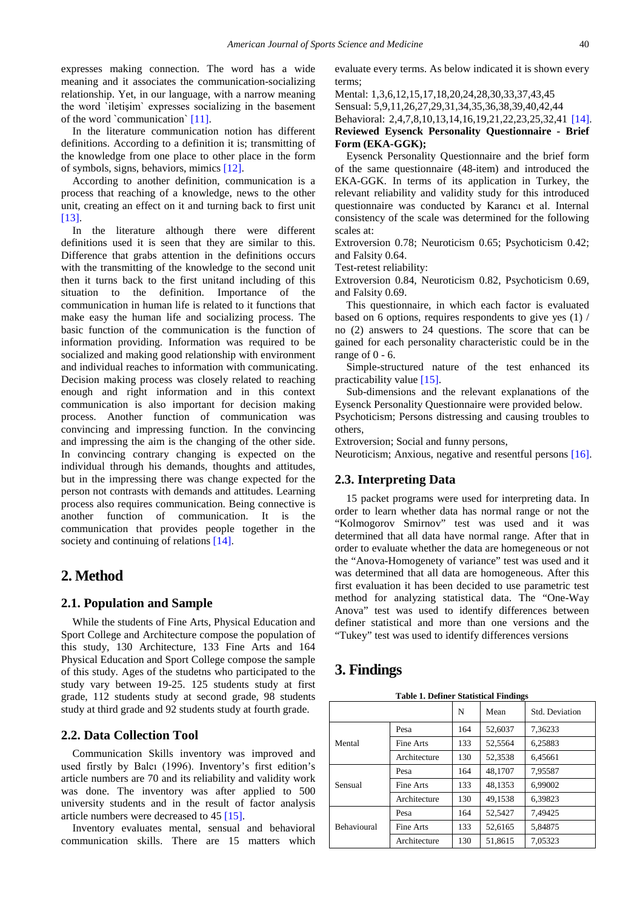expresses making connection. The word has a wide meaning and it associates the communication-socializing relationship. Yet, in our language, with a narrow meaning the word `iletişim` expresses socializing in the basement of the word `communication[` \[11\].](#page-4-6)

In the literature communication notion has different definitions. According to a definition it is; transmitting of the knowledge from one place to other place in the form of symbols, signs, behaviors, mimics [\[12\].](#page-4-7)

According to another definition, communication is a process that reaching of a knowledge, news to the other unit, creating an effect on it and turning back to first unit [\[13\].](#page-4-8)

In the literature although there were different definitions used it is seen that they are similar to this. Difference that grabs attention in the definitions occurs with the transmitting of the knowledge to the second unit then it turns back to the first unitand including of this situation to the definition. Importance of the communication in human life is related to it functions that make easy the human life and socializing process. The basic function of the communication is the function of information providing. Information was required to be socialized and making good relationship with environment and individual reaches to information with communicating. Decision making process was closely related to reaching enough and right information and in this context communication is also important for decision making process. Another function of communication was convincing and impressing function. In the convincing and impressing the aim is the changing of the other side. In convincing contrary changing is expected on the individual through his demands, thoughts and attitudes, but in the impressing there was change expected for the person not contrasts with demands and attitudes. Learning process also requires communication. Being connective is another function of communication. It is the communication that provides people together in the society and continuing of relations [\[14\].](#page-4-9)

## **2. Method**

#### **2.1. Population and Sample**

While the students of Fine Arts, Physical Education and Sport College and Architecture compose the population of this study, 130 Architecture, 133 Fine Arts and 164 Physical Education and Sport College compose the sample of this study. Ages of the studetns who participated to the study vary between 19-25. 125 students study at first grade, 112 students study at second grade, 98 students study at third grade and 92 students study at fourth grade.

#### **2.2. Data Collection Tool**

Communication Skills inventory was improved and used firstly by Balcı (1996). Inventory's first edition's article numbers are 70 and its reliability and validity work was done. The inventory was after applied to 500 university students and in the result of factor analysis article numbers were decreased to 45 [\[15\].](#page-4-10)

Inventory evaluates mental, sensual and behavioral communication skills. There are 15 matters which evaluate every terms. As below indicated it is shown every terms;

Mental: 1,3,6,12,15,17,18,20,24,28,30,33,37,43,45

Sensual: 5,9,11,26,27,29,31,34,35,36,38,39,40,42,44

#### Behavioral: 2,4,7,8,10,13,14,16,19,21,22,23,25,32,41 [\[14\].](#page-4-9)

#### **Reviewed Eysenck Personality Questionnaire - Brief Form (EKA-GGK);**

Eysenck Personality Questionnaire and the brief form of the same questionnaire (48-item) and introduced the EKA-GGK. In terms of its application in Turkey, the relevant reliability and validity study for this introduced questionnaire was conducted by Karancı et al. Internal consistency of the scale was determined for the following scales at:

Extroversion 0.78; Neuroticism 0.65; Psychoticism 0.42; and Falsity 0.64.

Test-retest reliability:

Extroversion 0.84, Neuroticism 0.82, Psychoticism 0.69, and Falsity 0.69.

This questionnaire, in which each factor is evaluated based on 6 options, requires respondents to give yes (1) / no (2) answers to 24 questions. The score that can be gained for each personality characteristic could be in the range of  $0 - 6$ .

Simple-structured nature of the test enhanced its practicability value [\[15\].](#page-4-10)

Sub-dimensions and the relevant explanations of the Eysenck Personality Questionnaire were provided below.

Psychoticism; Persons distressing and causing troubles to others,

Extroversion; Social and funny persons,

Neuroticism; Anxious, negative and resentful persons [\[16\].](#page-4-11)

#### **2.3. Interpreting Data**

15 packet programs were used for interpreting data. In order to learn whether data has normal range or not the "Kolmogorov Smirnov" test was used and it was determined that all data have normal range. After that in order to evaluate whether the data are homegeneous or not the "Anova-Homogenety of variance" test was used and it was determined that all data are homogeneous. After this first evaluation it has been decided to use parametric test method for analyzing statistical data. The "One-Way Anova" test was used to identify differences between definer statistical and more than one versions and the "Tukey" test was used to identify differences versions

## **3. Findings**

**Table 1. Definer Statistical Findings**

<span id="page-1-0"></span>

|                    |              | N   | Mean    | Std. Deviation |
|--------------------|--------------|-----|---------|----------------|
|                    | Pesa         | 164 | 52,6037 | 7.36233        |
| Mental             | Fine Arts    | 133 | 52.5564 | 6.25883        |
|                    | Architecture | 130 | 52,3538 | 6,45661        |
|                    | Pesa         | 164 | 48,1707 | 7.95587        |
| Sensual            | Fine Arts    | 133 | 48,1353 | 6.99002        |
|                    | Architecture | 130 | 49,1538 | 6.39823        |
|                    | Pesa         | 164 | 52.5427 | 7.49425        |
| <b>Behavioural</b> | Fine Arts    | 133 | 52.6165 | 5.84875        |
|                    | Architecture | 130 | 51.8615 | 7.05323        |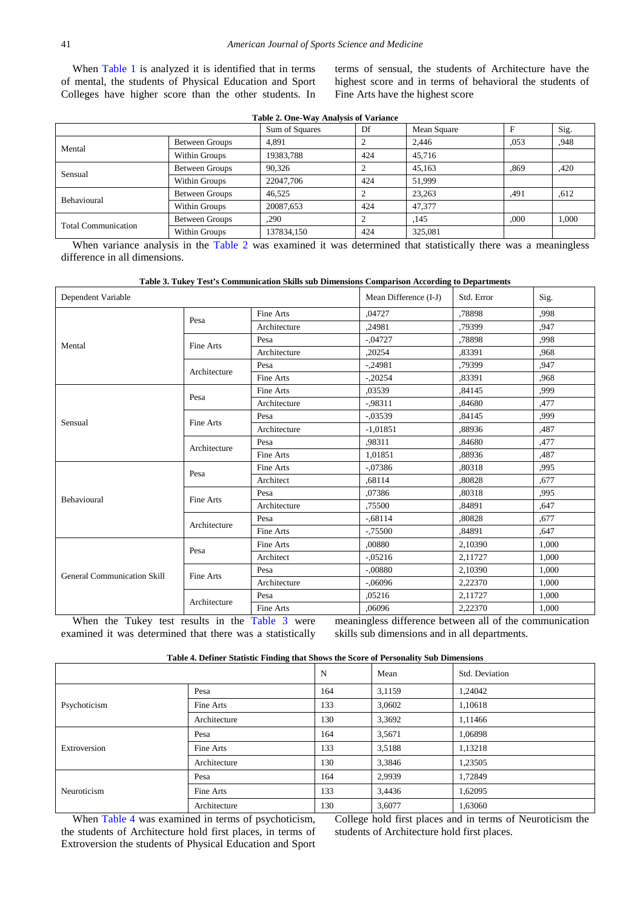When [Table 1](#page-1-0) is analyzed it is identified that in terms of mental, the students of Physical Education and Sport Colleges have higher score than the other students. In terms of sensual, the students of Architecture have the highest score and in terms of behavioral the students of Fine Arts have the highest score

<span id="page-2-0"></span>

| Table 2. One-Way Analysis of Variance |                       |                |     |             |      |       |  |
|---------------------------------------|-----------------------|----------------|-----|-------------|------|-------|--|
|                                       |                       | Sum of Squares | Df  | Mean Square | F    | Sig.  |  |
| Mental                                | Between Groups        | 4.891          |     | 2.446       | ,053 | .948  |  |
|                                       | Within Groups         | 19383,788      | 424 | 45,716      |      |       |  |
|                                       | Between Groups        | 90.326         |     | 45,163      | .869 | .420  |  |
| Sensual                               | Within Groups         | 22047.706      | 424 | 51.999      |      |       |  |
| <b>Behavioural</b>                    | Between Groups        | 46,525         |     | 23,263      | .491 | .612  |  |
|                                       | Within Groups         | 20087,653      | 424 | 47,377      |      |       |  |
| <b>Total Communication</b>            | <b>Between Groups</b> | ,290           |     | ,145        | ,000 | 1,000 |  |
|                                       | Within Groups         | 137834,150     | 424 | 325,081     |      |       |  |

When variance analysis in the [Table 2](#page-2-0) was examined it was determined that statistically there was a meaningless difference in all dimensions.

| Table 3. Tukey Test's Communication Skills sub Dimensions Comparison According to Departments |  |  |  |
|-----------------------------------------------------------------------------------------------|--|--|--|
|                                                                                               |  |  |  |

<span id="page-2-1"></span>

| Dependent Variable                 |              | Mean Difference (I-J) | Std. Error | Sig.    |       |
|------------------------------------|--------------|-----------------------|------------|---------|-------|
|                                    | Pesa         | Fine Arts             | ,04727     | ,78898  | .998  |
|                                    |              | Architecture          | ,24981     | .79399  | .947  |
| Mental                             | Fine Arts    | Pesa                  | $-.04727$  | .78898  | .998  |
|                                    |              | Architecture          | ,20254     | .83391  | .968  |
|                                    | Architecture | Pesa                  | $-.24981$  | .79399  | .947  |
|                                    |              | Fine Arts             | $-.20254$  | .83391  | .968  |
|                                    | Pesa         | Fine Arts             | ,03539     | ,84145  | ,999  |
|                                    |              | Architecture          | $-0.98311$ | ,84680  | .477  |
| Sensual                            | Fine Arts    | Pesa                  | $-0.03539$ | ,84145  | .999  |
|                                    |              | Architecture          | $-1,01851$ | .88936  | ,487  |
|                                    | Architecture | Pesa                  | .98311     | ,84680  | ,477  |
|                                    |              | Fine Arts             | 1,01851    | ,88936  | ,487  |
|                                    | Pesa         | <b>Fine Arts</b>      | $-.07386$  | ,80318  | .995  |
|                                    |              | Architect             | ,68114     | ,80828  | .677  |
| Behavioural                        | Fine Arts    | Pesa                  | ,07386     | ,80318  | .995  |
|                                    |              | Architecture          | ,75500     | ,84891  | .647  |
|                                    | Architecture | Pesa                  | $-.68114$  | ,80828  | .677  |
|                                    |              | Fine Arts             | $-0.75500$ | ,84891  | .647  |
|                                    | Pesa         | Fine Arts             | ,00880     | 2,10390 | 1,000 |
|                                    |              | Architect             | $-0.05216$ | 2,11727 | 1,000 |
| <b>General Communication Skill</b> | Fine Arts    | Pesa                  | $-.00880$  | 2,10390 | 1,000 |
|                                    |              | Architecture          | $-.06096$  | 2,22370 | 1,000 |
|                                    |              | Pesa                  | ,05216     | 2,11727 | 1,000 |
|                                    | Architecture | Fine Arts             | ,06096     | 2,22370 | 1,000 |

When the Tukey test results in the [Table 3](#page-2-1) were examined it was determined that there was a statistically meaningless difference between all of the communication skills sub dimensions and in all departments.

| Table 4. Definer Statistic Finding that Shows the Score of Personality Sub Dimensions |  |  |  |
|---------------------------------------------------------------------------------------|--|--|--|
|---------------------------------------------------------------------------------------|--|--|--|

<span id="page-2-2"></span>

|              |              | N   | Mean   | Std. Deviation |
|--------------|--------------|-----|--------|----------------|
|              | Pesa         | 164 | 3,1159 | 1,24042        |
| Psychoticism | Fine Arts    | 133 | 3,0602 | 1,10618        |
|              | Architecture | 130 | 3,3692 | 1,11466        |
|              | Pesa         | 164 | 3,5671 | 1,06898        |
| Extroversion | Fine Arts    | 133 | 3,5188 | 1,13218        |
|              | Architecture | 130 | 3,3846 | 1,23505        |
|              | Pesa         | 164 | 2,9939 | 1,72849        |
| Neuroticism  | Fine Arts    | 133 | 3,4436 | 1,62095        |
|              | Architecture | 130 | 3,6077 | 1,63060        |

When [Table 4](#page-2-2) was examined in terms of psychoticism, the students of Architecture hold first places, in terms of Extroversion the students of Physical Education and Sport College hold first places and in terms of Neuroticism the students of Architecture hold first places.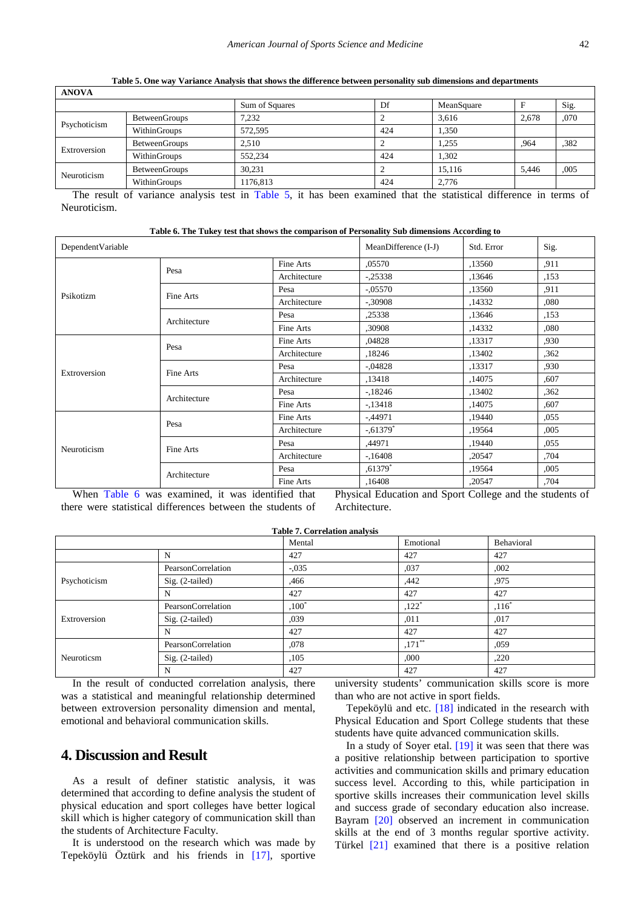<span id="page-3-0"></span>

| <b>ANOVA</b> |                      |                |     |            |       |      |  |
|--------------|----------------------|----------------|-----|------------|-------|------|--|
|              |                      | Sum of Squares | Df  | MeanSquare |       | Sig. |  |
| Psychoticism | <b>BetweenGroups</b> | 7.232          |     | 3.616      | 2,678 | ,070 |  |
|              | WithinGroups         | 572.595        | 424 | 1.350      |       |      |  |
| Extroversion | <b>BetweenGroups</b> | 2.510          |     | 1.255      | .964  | .382 |  |
|              | WithinGroups         | 552,234        | 424 | 1,302      |       |      |  |
| Neuroticism  | <b>BetweenGroups</b> | 30.231         |     | 15.116     | 5,446 | ,005 |  |
|              | WithinGroups         | 1176,813       | 424 | 2.776      |       |      |  |

**Table 5. One way Variance Analysis that shows the difference between personality sub dimensions and departments** 

The result of variance analysis test in [Table 5,](#page-3-0) it has been examined that the statistical difference in terms of Neuroticism.

**Table 6. The Tukey test that shows the comparison of Personality Sub dimensions According to**

<span id="page-3-1"></span>

| DependentVariable |                                                   | MeanDifference (I-J) | Std. Error                                                                                                                                                                                                                                                | Sig.   |       |
|-------------------|---------------------------------------------------|----------------------|-----------------------------------------------------------------------------------------------------------------------------------------------------------------------------------------------------------------------------------------------------------|--------|-------|
|                   |                                                   | Fine Arts            | ,05570                                                                                                                                                                                                                                                    | ,13560 | .911  |
|                   | Pesa                                              | Architecture         | $-.25338$                                                                                                                                                                                                                                                 | ,13646 | ,153  |
| Psikotizm         | Fine Arts                                         | Pesa                 | $-.05570$                                                                                                                                                                                                                                                 | ,13560 | .911  |
|                   |                                                   | Architecture         | $-.30908$                                                                                                                                                                                                                                                 | ,14332 | ,080  |
|                   | Architecture                                      | Pesa                 | ,25338                                                                                                                                                                                                                                                    | ,13646 | ,153  |
|                   |                                                   | Fine Arts            | ,30908                                                                                                                                                                                                                                                    | ,14332 | ,080  |
|                   | Pesa                                              | Fine Arts            | .04828                                                                                                                                                                                                                                                    | ,13317 | ,930  |
|                   |                                                   | Architecture         | ,18246                                                                                                                                                                                                                                                    | ,13402 | ,362  |
| Extroversion      | Fine Arts                                         | Pesa                 | $-.04828$                                                                                                                                                                                                                                                 | ,13317 | .930  |
|                   |                                                   | Architecture         | ,13418                                                                                                                                                                                                                                                    | ,14075 | ,607  |
|                   | Architecture                                      | Pesa                 | $-18246$                                                                                                                                                                                                                                                  | ,13402 | ,362  |
|                   |                                                   | Fine Arts            | $-13418$                                                                                                                                                                                                                                                  | ,14075 | ,607  |
|                   | Pesa                                              | Fine Arts            | $-44971$                                                                                                                                                                                                                                                  | ,19440 | ,055  |
|                   |                                                   | Architecture         | $-.61379*$                                                                                                                                                                                                                                                | ,19564 | 0.005 |
| Neuroticism       | Fine Arts                                         | Pesa                 | ,44971                                                                                                                                                                                                                                                    | ,19440 | ,055  |
|                   |                                                   | Architecture         | $-16408$                                                                                                                                                                                                                                                  | ,20547 | ,704  |
|                   | Architecture                                      | Pesa                 | $.61379*$                                                                                                                                                                                                                                                 | ,19564 | ,005  |
|                   |                                                   | Fine Arts            | ,16408                                                                                                                                                                                                                                                    | ,20547 | ,704  |
|                   | When Table Course received it may identified that |                      | $Dlocal = 1, Dlocal = 1, Dlocal = 1, Dinitial = 1, Dinitial = 1, Dinitial = 1, Dinitial = 1, Dinitial = 1, Dinitial = 1, Dinitial = 1, Dinitial = 1, Dinitial = 1, Dinitial = 1, Dinitial = 1, Dinitial = 1, Dinitial = 1, Dinitial = 1, Dinitial = 1, D$ |        |       |

When [Table 6](#page-3-1) was examined, it was identified that there were statistical differences between the students of

Physical Education and Sport College and the students of Architecture.

|              |                    | Mental   | Emotional           | Behavioral |  |
|--------------|--------------------|----------|---------------------|------------|--|
|              | N                  | 427      | 427                 | 427        |  |
|              | PearsonCorrelation | $-.035$  | ,037                | ,002       |  |
| Psychoticism | $Sig. (2-tailed)$  | ,466     | .442                | .975       |  |
|              | N                  | 427      | 427                 | 427        |  |
|              | PearsonCorrelation | $,100^*$ | $,122$ <sup>*</sup> | $,116^*$   |  |
| Extroversion | $Sig. (2-tailed)$  | .039     | ,011                | .017       |  |
|              | N                  | 427      | 427                 | 427        |  |
|              | PearsonCorrelation | ,078     | $,171$ **           | ,059       |  |
| Neuroticsm   | $Sig. (2-tailed)$  | ,105     | ,000                | ,220       |  |
|              | N                  | 427      | 427                 | 427        |  |

In the result of conducted correlation analysis, there was a statistical and meaningful relationship determined between extroversion personality dimension and mental, emotional and behavioral communication skills.

# **4. Discussion and Result**

As a result of definer statistic analysis, it was determined that according to define analysis the student of physical education and sport colleges have better logical skill which is higher category of communication skill than the students of Architecture Faculty.

It is understood on the research which was made by Tepeköylü Öztürk and his friends in [\[17\],](#page-4-12) sportive university students' communication skills score is more than who are not active in sport fields.

Tepeköylü and etc.  $[18]$  indicated in the research with Physical Education and Sport College students that these students have quite advanced communication skills.

In a study of Soyer etal. [\[19\]](#page-4-14) it was seen that there was a positive relationship between participation to sportive activities and communication skills and primary education success level. According to this, while participation in sportive skills increases their communication level skills and success grade of secondary education also increase. Bayram [\[20\]](#page-4-15) observed an increment in communication skills at the end of 3 months regular sportive activity. Türkel [\[21\]](#page-4-16) examined that there is a positive relation